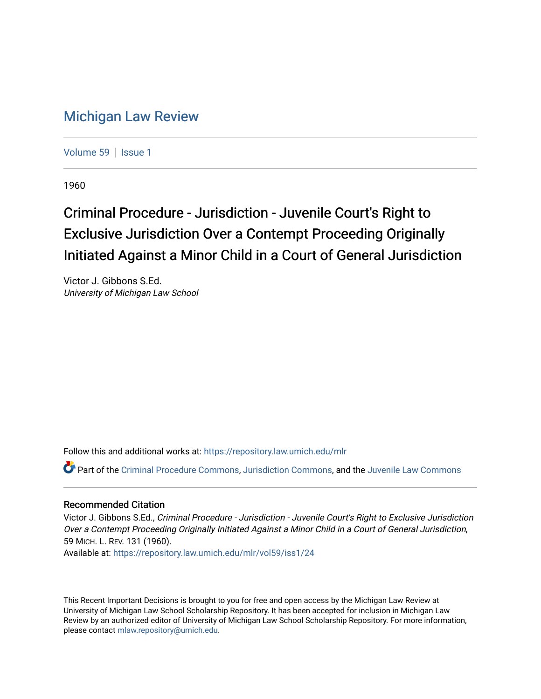## [Michigan Law Review](https://repository.law.umich.edu/mlr)

[Volume 59](https://repository.law.umich.edu/mlr/vol59) | [Issue 1](https://repository.law.umich.edu/mlr/vol59/iss1)

1960

## Criminal Procedure - Jurisdiction - Juvenile Court's Right to Exclusive Jurisdiction Over a Contempt Proceeding Originally Initiated Against a Minor Child in a Court of General Jurisdiction

Victor J. Gibbons S.Ed. University of Michigan Law School

Follow this and additional works at: [https://repository.law.umich.edu/mlr](https://repository.law.umich.edu/mlr?utm_source=repository.law.umich.edu%2Fmlr%2Fvol59%2Fiss1%2F24&utm_medium=PDF&utm_campaign=PDFCoverPages) 

Part of the [Criminal Procedure Commons,](http://network.bepress.com/hgg/discipline/1073?utm_source=repository.law.umich.edu%2Fmlr%2Fvol59%2Fiss1%2F24&utm_medium=PDF&utm_campaign=PDFCoverPages) [Jurisdiction Commons](http://network.bepress.com/hgg/discipline/850?utm_source=repository.law.umich.edu%2Fmlr%2Fvol59%2Fiss1%2F24&utm_medium=PDF&utm_campaign=PDFCoverPages), and the [Juvenile Law Commons](http://network.bepress.com/hgg/discipline/851?utm_source=repository.law.umich.edu%2Fmlr%2Fvol59%2Fiss1%2F24&utm_medium=PDF&utm_campaign=PDFCoverPages)

## Recommended Citation

Victor J. Gibbons S.Ed., Criminal Procedure - Jurisdiction - Juvenile Court's Right to Exclusive Jurisdiction Over a Contempt Proceeding Originally Initiated Against a Minor Child in a Court of General Jurisdiction, 59 MICH. L. REV. 131 (1960).

Available at: [https://repository.law.umich.edu/mlr/vol59/iss1/24](https://repository.law.umich.edu/mlr/vol59/iss1/24?utm_source=repository.law.umich.edu%2Fmlr%2Fvol59%2Fiss1%2F24&utm_medium=PDF&utm_campaign=PDFCoverPages) 

This Recent Important Decisions is brought to you for free and open access by the Michigan Law Review at University of Michigan Law School Scholarship Repository. It has been accepted for inclusion in Michigan Law Review by an authorized editor of University of Michigan Law School Scholarship Repository. For more information, please contact [mlaw.repository@umich.edu.](mailto:mlaw.repository@umich.edu)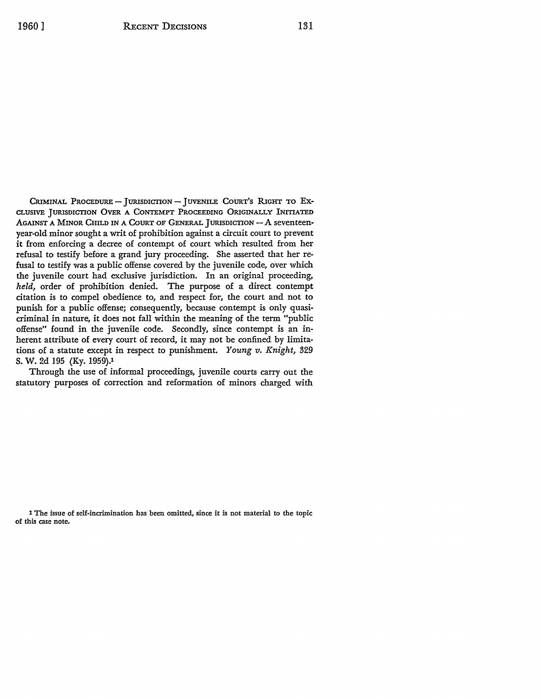CRIMINAL PROCEDURE - JURISDICTION - JUVENILE COURT'S RIGHT TO EX-CLUSIVE JURISDICTION OVER A CONTEMPT PROCEEDING ORIGINALLY INITIATED AGAINST A MINOR CHILD IN A COURT OF GENERAL JURISDICTION  $- A$  seventeenyear-old minor sought a writ of prohibition against a circuit court to prevent it from enforcing a decree of contempt of court which resulted from her refusal to testify before a grand jury proceeding. She asserted that her refusal to testify was a public offense covered by the juvenile code, over which the juvenile court had exclusive jurisdiction. In an original proceeding, *held,* order of prohibition denied. The purpose of a direct contempt citation is to compel obedience to, and respect for, the court and not to punish for a public offense; consequently, because contempt is only quasicriminal in nature, it does not fall within the meaning of the term "public offense" found in the juvenile code. Secondly, since contempt is an inherent attribute of every court of record, it may not be confined by limitations of a statute except in respect to punishment. *Young v. Knight,* 329 S. W. 2d 195 (Ky. 1959).1

Through the use of informal proceedings, juvenile courts carry out the statutory purposes of correction and reformation of minors charged with

1 The issue of self.incrimination has been omitted, since it is not material to the topic **of this case** note.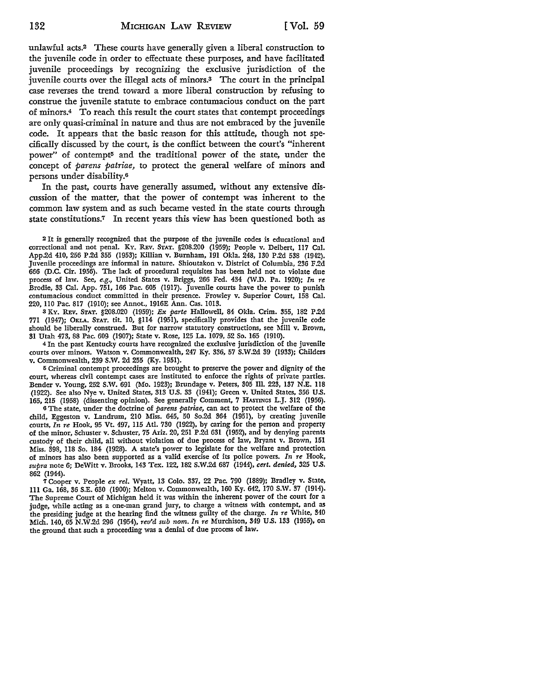unlawful acts.2 These courts have generally given a liberal construction to the juvenile code in order to effectuate these purposes, and have facilitated juvenile proceedings by recognizing the exclusive jurisdiction of the juvenile courts over the illegal acts of minors.3 The court in the principal case reverses the trend toward a more liberal construction by refusing to construe the juvenile statute to embrace contumacious conduct on the part of minors.4 To reach this result the court states that contempt proceedings are only quasi-criminal in nature and thus are not embraced by the juvenile code. It appears that the basic reason for this attitude, though not specifically discussed by the court, is the conflict between the court's "inherent power" of contempt5 and the traditional power of the state, under the concept of *parens patriae,* to protect the general welfare of minors and persons under disability.<sup>6</sup>

In the past, courts have generally assumed, without any extensive discussion of the matter, that the power of contempt was inherent to the common law system and as such became vested in the state courts through state constitutions.7 In recent years this view has been questioned both as

<sup>2</sup>It is generally recognized that the purpose of the juvenile codes is educational and correctional and not penal. KY. REv. STAT. §208.200 (1959); People v. Deibert, 117 Cal. App.2d 410, 256 P.2d 355 (1953); Killian v. Burnham, 191 Okla. 248, 130 P.2d 538 (1942). Juvenile proceedings are informal in nature. Shioutakon v. District of Columbia, 236 F.2d 666 (D.C. Cir. 1956). The lack of procedural requisites has been held not to violate due process of law. See, *e.g.,* United States v. Briggs, 266 Fed. 434 (W.D. Pa. 1920); *In re*  Brodie, 33 Cal. App. 751, 166 Pac. 605 (1917). Juvenile courts have the power to punish contumacious conduct committed in their presence. Frawley v. Superior Court, 158 Cal. 220, llO Pac. 817 (1910); see Annot., 1916E Ann. Gas. 1013.

s KY. REv. STAT. §208.020 (1959); *Ex parte* Hallowell, 84 Okla. Crim. 355, 182 P.2d 771 (1947); OKLA. STAT. tit. 10, §114 (1951), specifically provides that the juvenile code should be liberally construed. But for narrow statutory constructions, see Mill v. Brown, 31 Utah 473, 88 Pac. 609 (1907); State v. Rose, 125 La. 1079, 52 So. 165 (1910).

<sup>4</sup>In the past Kentucky courts have recognized the exclusive jurisdiction of the juvenile courts over minors. Watson v. Commonwealth, 247 Ky. 336, 57 S.W.2d 39 (1933); Childers v. Commonwealth, 239 S.W. 2d 255 (Ky. 1951).

5 Criminal contempt proceedings are brought to preserve the power and dignity of the court, whereas civil contempt cases are instituted to enforce the rights of private parties. Bender v. Young, 252 S.W. 691 (Mo. 1923); Brundage v. Peters, 305 Ill. 223, 137 N.E. ll8 (1922). See also Nye v. United States, 313 U.S. 33 (1941); Green v. United States, 356 U.S. 165, 215 (1958) (dissenting opinion). See generally Comment, 7 HASTINGS L.J. 312 (1956).

<sup>6</sup>The state, under the doctrine of *parens patriae,* can act to protect the welfare of the child, Eggeston v. Landrum, 210 Miss. 645, 50 So.2d 364 (1951), by creating juvenile courts, *In re* Hook, 95 Vt. 497, ll5 Atl. 730 (1922), by caring for the person and property of the minor, Schuster v. Schuster, 75 Ariz. 20, 251 P.2d 631 (1952), and by denying parents custody of their child, all without violation of due process of law, Bryant v. Brown, 151 **Miss.** 398, 118 So. 184 (1928). A state's power to legislate for the welfare and protection of minors has also been supported as a valid exercise of its police powers. *In re* Hook, *supra* note 6; DeWitt v. Brooks, 143 Tex. 122, 182 S.W.2d 687 (1944), *cert. denied,* 325 U.S. 862 (1944).

7 Cooper v. People *ex rel.* Wyatt, 13 Colo. 337, 22 Pac. 790 (1889); Bradley v. State, 111 Ga. 168, 36 S.E. 630 (1900); Melton v. Commonwealth, 160 Ky. 642, 170 S.W. 37 (1914). The Supreme Court of Michigan held it was within the inherent power of the court for a judge, while acting as a one-man grand jury, to charge a witness with contempt, and as the presiding judge at the hearing find the witness guilty of the charge. *In re* White, 340 Mich. 140, 65 N.W.2d 296 (1954), *rev'd sub nom. In re* Murchison, 349 U.S. 133 (1955), on the ground that such a proceeding was a denial of due process of law.